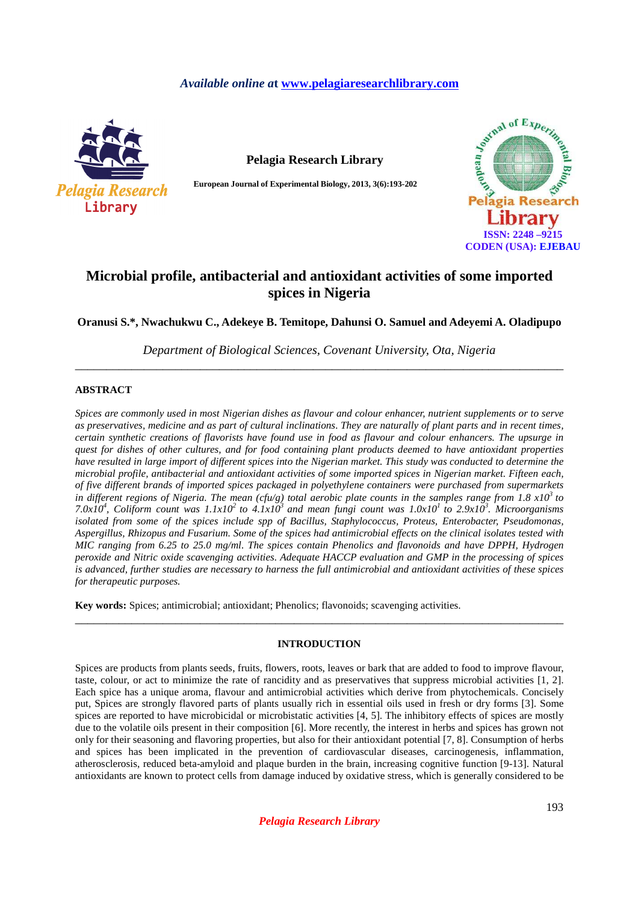# *Available online a***t www.pelagiaresearchlibrary.com**



**Pelagia Research Library**

**European Journal of Experimental Biology, 2013, 3(6):193-202** 



# **Microbial profile, antibacterial and antioxidant activities of some imported spices in Nigeria**

**Oranusi S.\*, Nwachukwu C., Adekeye B. Temitope, Dahunsi O. Samuel and Adeyemi A. Oladipupo** 

*Department of Biological Sciences, Covenant University, Ota, Nigeria*  \_\_\_\_\_\_\_\_\_\_\_\_\_\_\_\_\_\_\_\_\_\_\_\_\_\_\_\_\_\_\_\_\_\_\_\_\_\_\_\_\_\_\_\_\_\_\_\_\_\_\_\_\_\_\_\_\_\_\_\_\_\_\_\_\_\_\_\_\_\_\_\_\_\_\_\_\_\_

## **ABSTRACT**

*Spices are commonly used in most Nigerian dishes as flavour and colour enhancer, nutrient supplements or to serve as preservatives, medicine and as part of cultural inclinations. They are naturally of plant parts and in recent times, certain synthetic creations of flavorists have found use in food as flavour and colour enhancers. The upsurge in quest for dishes of other cultures, and for food containing plant products deemed to have antioxidant properties have resulted in large import of different spices into the Nigerian market. This study was conducted to determine the microbial profile, antibacterial and antioxidant activities of some imported spices in Nigerian market. Fifteen each, of five different brands of imported spices packaged in polyethylene containers were purchased from supermarkets in different regions of Nigeria. The mean (cfu/g) total aerobic plate counts in the samples range from 1.8 x10<sup>3</sup>to 7.0x10<sup>4</sup>*, *Coliform count was 1.1x10<sup>2</sup> to 4.1x10<sup>3</sup> and mean fungi count was 1.0x10<sup>1</sup> to 2.9x10<sup>3</sup>. Microorganisms isolated from some of the spices include spp of Bacillus, Staphylococcus, Proteus, Enterobacter, Pseudomonas, Aspergillus, Rhizopus and Fusarium. Some of the spices had antimicrobial effects on the clinical isolates tested with MIC ranging from 6.25 to 25.0 mg/ml. The spices contain Phenolics and flavonoids and have DPPH, Hydrogen peroxide and Nitric oxide scavenging activities. Adequate HACCP evaluation and GMP in the processing of spices is advanced, further studies are necessary to harness the full antimicrobial and antioxidant activities of these spices for therapeutic purposes.* 

**Key words:** Spices; antimicrobial; antioxidant; Phenolics; flavonoids; scavenging activities.

# **INTRODUCTION**

\_\_\_\_\_\_\_\_\_\_\_\_\_\_\_\_\_\_\_\_\_\_\_\_\_\_\_\_\_\_\_\_\_\_\_\_\_\_\_\_\_\_\_\_\_\_\_\_\_\_\_\_\_\_\_\_\_\_\_\_\_\_\_\_\_\_\_\_\_\_\_\_\_\_\_\_\_\_

Spices are products from plants seeds, fruits, flowers, roots, leaves or bark that are added to food to improve flavour, taste, colour, or act to minimize the rate of rancidity and as preservatives that suppress microbial activities [1, 2]. Each spice has a unique aroma, flavour and antimicrobial activities which derive from phytochemicals. Concisely put, Spices are strongly flavored parts of plants usually rich in essential oils used in fresh or dry forms [3]. Some spices are reported to have microbicidal or microbistatic activities [4, 5]. The inhibitory effects of spices are mostly due to the volatile oils present in their composition [6]. More recently, the interest in herbs and spices has grown not only for their seasoning and flavoring properties, but also for their antioxidant potential [7, 8]. Consumption of herbs and spices has been implicated in the prevention of cardiovascular diseases, carcinogenesis, inflammation, atherosclerosis, reduced beta-amyloid and plaque burden in the brain, increasing cognitive function [9-13]. Natural antioxidants are known to protect cells from damage induced by oxidative stress, which is generally considered to be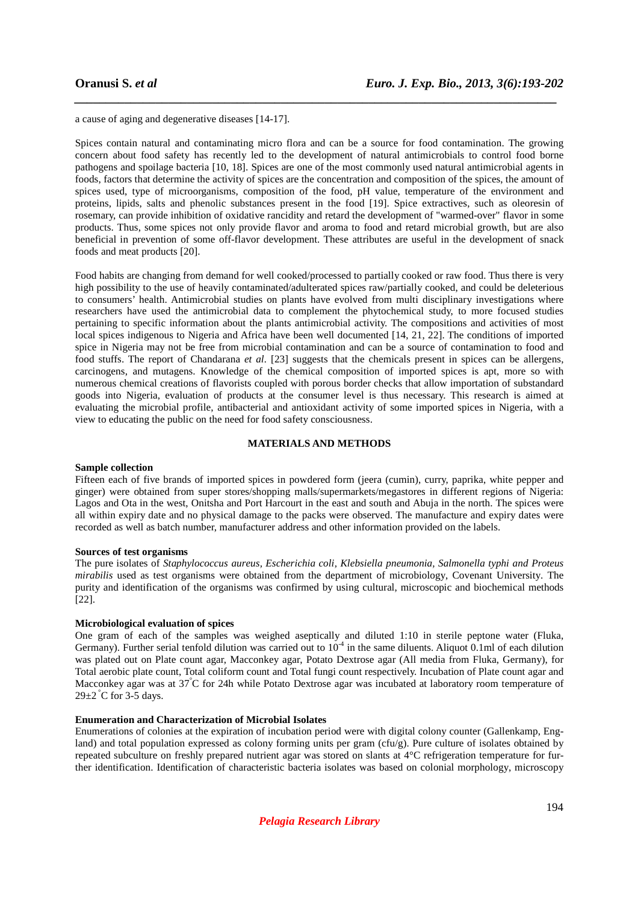a cause of aging and degenerative diseases [14-17].

Spices contain natural and contaminating micro flora and can be a source for food contamination. The growing concern about food safety has recently led to the development of natural antimicrobials to control food borne pathogens and spoilage bacteria [10, 18]. Spices are one of the most commonly used natural antimicrobial agents in foods, factors that determine the activity of spices are the concentration and composition of the spices, the amount of spices used, type of microorganisms, composition of the food, pH value, temperature of the environment and proteins, lipids, salts and phenolic substances present in the food [19]. Spice extractives, such as oleoresin of rosemary, can provide inhibition of oxidative rancidity and retard the development of "warmed-over" flavor in some products. Thus, some spices not only provide flavor and aroma to food and retard microbial growth, but are also beneficial in prevention of some off-flavor development. These attributes are useful in the development of snack foods and meat products [20].

*\_\_\_\_\_\_\_\_\_\_\_\_\_\_\_\_\_\_\_\_\_\_\_\_\_\_\_\_\_\_\_\_\_\_\_\_\_\_\_\_\_\_\_\_\_\_\_\_\_\_\_\_\_\_\_\_\_\_\_\_\_\_\_\_\_\_\_\_\_\_\_\_\_\_\_\_\_*

Food habits are changing from demand for well cooked/processed to partially cooked or raw food. Thus there is very high possibility to the use of heavily contaminated/adulterated spices raw/partially cooked, and could be deleterious to consumers' health. Antimicrobial studies on plants have evolved from multi disciplinary investigations where researchers have used the antimicrobial data to complement the phytochemical study, to more focused studies pertaining to specific information about the plants antimicrobial activity. The compositions and activities of most local spices indigenous to Nigeria and Africa have been well documented [14, 21, 22]. The conditions of imported spice in Nigeria may not be free from microbial contamination and can be a source of contamination to food and food stuffs. The report of Chandarana *et al.* [23] suggests that the chemicals present in spices can be allergens, carcinogens, and mutagens. Knowledge of the chemical composition of imported spices is apt, more so with numerous chemical creations of flavorists coupled with porous border checks that allow importation of substandard goods into Nigeria, evaluation of products at the consumer level is thus necessary. This research is aimed at evaluating the microbial profile, antibacterial and antioxidant activity of some imported spices in Nigeria, with a view to educating the public on the need for food safety consciousness.

### **MATERIALS AND METHODS**

### **Sample collection**

Fifteen each of five brands of imported spices in powdered form (jeera (cumin), curry, paprika, white pepper and ginger) were obtained from super stores/shopping malls/supermarkets/megastores in different regions of Nigeria: Lagos and Ota in the west, Onitsha and Port Harcourt in the east and south and Abuja in the north. The spices were all within expiry date and no physical damage to the packs were observed. The manufacture and expiry dates were recorded as well as batch number, manufacturer address and other information provided on the labels.

### **Sources of test organisms**

The pure isolates of *Staphylococcus aureus, Escherichia coli, Klebsiella pneumonia, Salmonella typhi and Proteus mirabilis* used as test organisms were obtained from the department of microbiology, Covenant University. The purity and identification of the organisms was confirmed by using cultural, microscopic and biochemical methods [22].

### **Microbiological evaluation of spices**

One gram of each of the samples was weighed aseptically and diluted 1:10 in sterile peptone water (Fluka, Germany). Further serial tenfold dilution was carried out to  $10^{-4}$  in the same diluents. Aliquot 0.1ml of each dilution was plated out on Plate count agar, Macconkey agar, Potato Dextrose agar (All media from Fluka, Germany), for Total aerobic plate count, Total coliform count and Total fungi count respectively. Incubation of Plate count agar and Macconkey agar was at  $37^{\circ}$ C for 24h while Potato Dextrose agar was incubated at laboratory room temperature of  $29\pm2$  °C for 3-5 days.

### **Enumeration and Characterization of Microbial Isolates**

Enumerations of colonies at the expiration of incubation period were with digital colony counter (Gallenkamp, England) and total population expressed as colony forming units per gram (cfu/g). Pure culture of isolates obtained by repeated subculture on freshly prepared nutrient agar was stored on slants at 4°C refrigeration temperature for further identification. Identification of characteristic bacteria isolates was based on colonial morphology, microscopy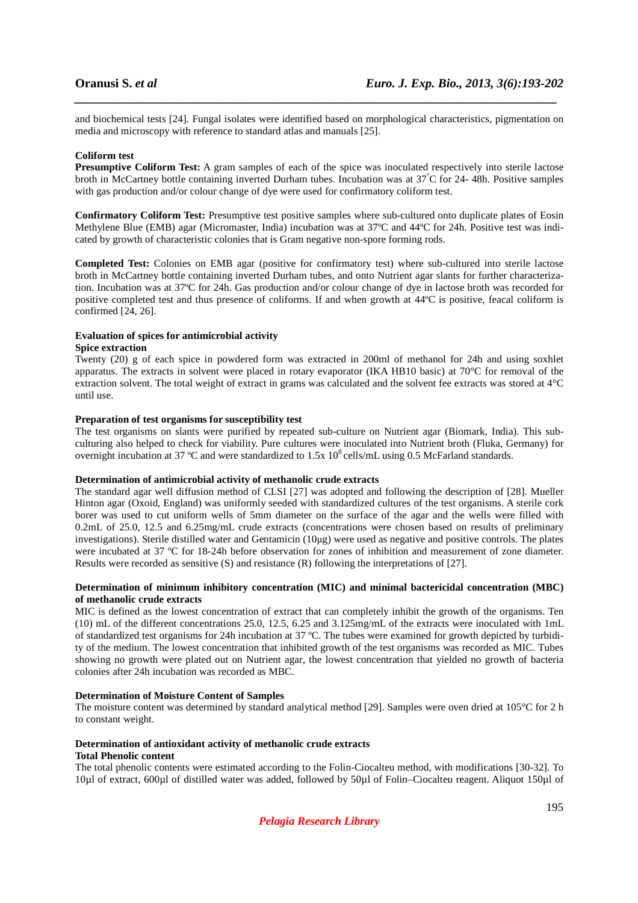and biochemical tests [24]. Fungal isolates were identified based on morphological characteristics, pigmentation on media and microscopy with reference to standard atlas and manuals [25].

*\_\_\_\_\_\_\_\_\_\_\_\_\_\_\_\_\_\_\_\_\_\_\_\_\_\_\_\_\_\_\_\_\_\_\_\_\_\_\_\_\_\_\_\_\_\_\_\_\_\_\_\_\_\_\_\_\_\_\_\_\_\_\_\_\_\_\_\_\_\_\_\_\_\_\_\_\_*

### **Coliform test**

**Presumptive Coliform Test:** A gram samples of each of the spice was inoculated respectively into sterile lactose broth in McCartney bottle containing inverted Durham tubes. Incubation was at 37°C for 24- 48h. Positive samples with gas production and/or colour change of dye were used for confirmatory coliform test.

**Confirmatory Coliform Test:** Presumptive test positive samples where sub-cultured onto duplicate plates of Eosin Methylene Blue (EMB) agar (Micromaster, India) incubation was at 37ºC and 44ºC for 24h. Positive test was indicated by growth of characteristic colonies that is Gram negative non-spore forming rods.

**Completed Test:** Colonies on EMB agar (positive for confirmatory test) where sub-cultured into sterile lactose broth in McCartney bottle containing inverted Durham tubes, and onto Nutrient agar slants for further characterization. Incubation was at 37ºC for 24h. Gas production and/or colour change of dye in lactose broth was recorded for positive completed test and thus presence of coliforms. If and when growth at 44ºC is positive, feacal coliform is confirmed  $[24, 26]$ .

## **Evaluation of spices for antimicrobial activity**

## **Spice extraction**

Twenty (20) g of each spice in powdered form was extracted in 200ml of methanol for 24h and using soxhlet apparatus. The extracts in solvent were placed in rotary evaporator (IKA HB10 basic) at 70°C for removal of the extraction solvent. The total weight of extract in grams was calculated and the solvent fee extracts was stored at 4°C until use.

### **Preparation of test organisms for susceptibility test**

The test organisms on slants were purified by repeated sub-culture on Nutrient agar (Biomark, India). This subculturing also helped to check for viability. Pure cultures were inoculated into Nutrient broth (Fluka, Germany) for overnight incubation at 37 °C and were standardized to 1.5x 10<sup>8</sup> cells/mL using 0.5 McFarland standards.

### **Determination of antimicrobial activity of methanolic crude extracts**

The standard agar well diffusion method of CLSI [27] was adopted and following the description of [28]. Mueller Hinton agar (Oxoid, England) was uniformly seeded with standardized cultures of the test organisms. A sterile cork borer was used to cut uniform wells of 5mm diameter on the surface of the agar and the wells were filled with 0.2mL of 25.0, 12.5 and 6.25mg/mL crude extracts (concentrations were chosen based on results of preliminary investigations). Sterile distilled water and Gentamicin (10µg) were used as negative and positive controls. The plates were incubated at 37 ºC for 18-24h before observation for zones of inhibition and measurement of zone diameter. Results were recorded as sensitive (S) and resistance (R) following the interpretations of [27].

## **Determination of minimum inhibitory concentration (MIC) and minimal bactericidal concentration (MBC) of methanolic crude extracts**

MIC is defined as the lowest concentration of extract that can completely inhibit the growth of the organisms. Ten (10) mL of the different concentrations 25.0, 12.5, 6.25 and 3.125mg/mL of the extracts were inoculated with 1mL of standardized test organisms for 24h incubation at 37 ºC. The tubes were examined for growth depicted by turbidity of the medium. The lowest concentration that inhibited growth of the test organisms was recorded as MIC. Tubes showing no growth were plated out on Nutrient agar, the lowest concentration that yielded no growth of bacteria colonies after 24h incubation was recorded as MBC.

### **Determination of Moisture Content of Samples**

The moisture content was determined by standard analytical method [29]. Samples were oven dried at 105°C for 2 h to constant weight.

# **Determination of antioxidant activity of methanolic crude extracts**

# **Total Phenolic content**

The total phenolic contents were estimated according to the Folin-Ciocalteu method, with modifications [30-32]. To 10µl of extract, 600µl of distilled water was added, followed by 50µl of Folin–Ciocalteu reagent. Aliquot 150µl of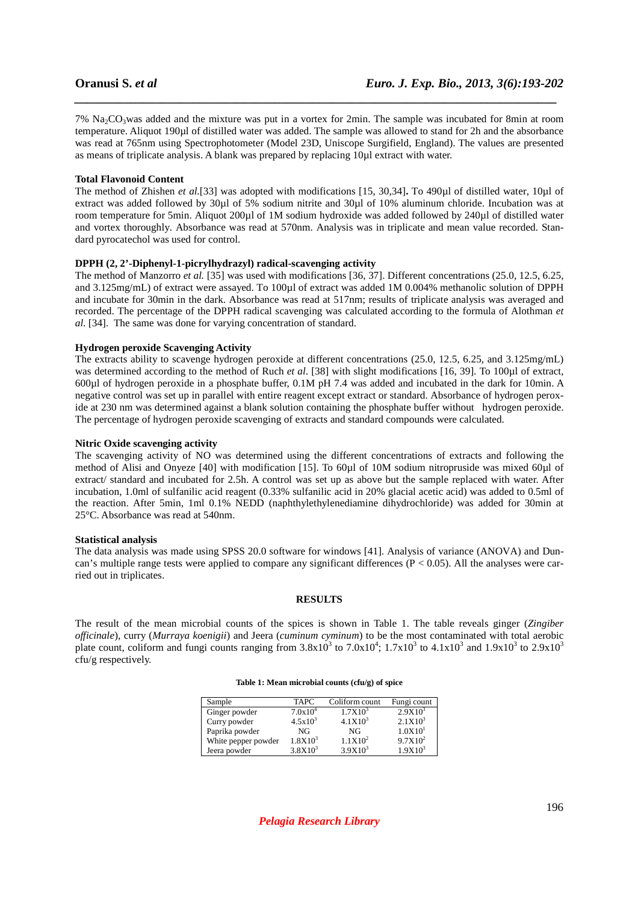$7\%$  Na<sub>2</sub>CO<sub>3</sub>was added and the mixture was put in a vortex for 2min. The sample was incubated for 8min at room temperature. Aliquot 190µl of distilled water was added. The sample was allowed to stand for 2h and the absorbance was read at 765nm using Spectrophotometer (Model 23D, Uniscope Surgifield, England). The values are presented as means of triplicate analysis. A blank was prepared by replacing 10µl extract with water.

*\_\_\_\_\_\_\_\_\_\_\_\_\_\_\_\_\_\_\_\_\_\_\_\_\_\_\_\_\_\_\_\_\_\_\_\_\_\_\_\_\_\_\_\_\_\_\_\_\_\_\_\_\_\_\_\_\_\_\_\_\_\_\_\_\_\_\_\_\_\_\_\_\_\_\_\_\_*

### **Total Flavonoid Content**

The method of Zhishen *et al.*[33] was adopted with modifications [15, 30,34]. To 490µl of distilled water, 10µl of extract was added followed by 30µl of 5% sodium nitrite and 30µl of 10% aluminum chloride. Incubation was at room temperature for 5min. Aliquot 200µl of 1M sodium hydroxide was added followed by 240µl of distilled water and vortex thoroughly. Absorbance was read at 570nm. Analysis was in triplicate and mean value recorded. Standard pyrocatechol was used for control.

### **DPPH (2, 2'-Diphenyl-1-picrylhydrazyl) radical-scavenging activity**

The method of Manzorro *et al.* [35] was used with modifications [36, 37]. Different concentrations (25.0, 12.5, 6.25, and 3.125mg/mL) of extract were assayed. To 100µl of extract was added 1M 0.004% methanolic solution of DPPH and incubate for 30min in the dark. Absorbance was read at 517nm; results of triplicate analysis was averaged and recorded. The percentage of the DPPH radical scavenging was calculated according to the formula of Alothman *et al.* [34]. The same was done for varying concentration of standard.

### **Hydrogen peroxide Scavenging Activity**

The extracts ability to scavenge hydrogen peroxide at different concentrations (25.0, 12.5, 6.25, and 3.125mg/mL) was determined according to the method of Ruch *et al.* [38] with slight modifications [16, 39]. To 100µl of extract, 600µl of hydrogen peroxide in a phosphate buffer, 0.1M pH 7.4 was added and incubated in the dark for 10min. A negative control was set up in parallel with entire reagent except extract or standard. Absorbance of hydrogen peroxide at 230 nm was determined against a blank solution containing the phosphate buffer without hydrogen peroxide. The percentage of hydrogen peroxide scavenging of extracts and standard compounds were calculated.

### **Nitric Oxide scavenging activity**

The scavenging activity of NO was determined using the different concentrations of extracts and following the method of Alisi and Onyeze [40] with modification [15]. To 60µl of 10M sodium nitropruside was mixed 60µl of extract/ standard and incubated for 2.5h. A control was set up as above but the sample replaced with water. After incubation, 1.0ml of sulfanilic acid reagent (0.33% sulfanilic acid in 20% glacial acetic acid) was added to 0.5ml of the reaction. After 5min, 1ml 0.1% NEDD (naphthylethylenediamine dihydrochloride) was added for 30min at 25°C. Absorbance was read at 540nm.

### **Statistical analysis**

The data analysis was made using SPSS 20.0 software for windows [41]. Analysis of variance (ANOVA) and Duncan's multiple range tests were applied to compare any significant differences  $(P < 0.05)$ . All the analyses were carried out in triplicates.

### **RESULTS**

The result of the mean microbial counts of the spices is shown in Table 1. The table reveals ginger (*Zingiber officinale*), curry (*Murraya koenigii*) and Jeera (*cuminum cyminum*) to be the most contaminated with total aerobic plate count, coliform and fungi counts ranging from  $3.8 \times 10^3$  to  $7.0 \times 10^4$ ;  $1.7 \times 10^3$  to  $4.1 \times 10^3$  and  $1.9 \times 10^3$  to  $2.9 \times 10^3$ cfu/g respectively.

### **Table 1: Mean microbial counts (cfu/g) of spice**

| Sample              | <b>TAPC</b>  | Coliform count    | Fungi count         |
|---------------------|--------------|-------------------|---------------------|
| Ginger powder       | $7.0x10^4$   | $1.7X10^{3}$      | $2.9X10^{3}$        |
| Curry powder        | $4.5x10^{3}$ | $4.1X10^{3}$      | $2.1X10^3$          |
| Paprika powder      | NG           | NG                | 1.0X10 <sup>1</sup> |
| White pepper powder | $1.8X10^{3}$ | $1.1 \times 10^2$ | $9.7X10^2$          |
| Jeera powder        | $3.8X10^{3}$ | $3.9X10^3$        | $1.9X10^{3}$        |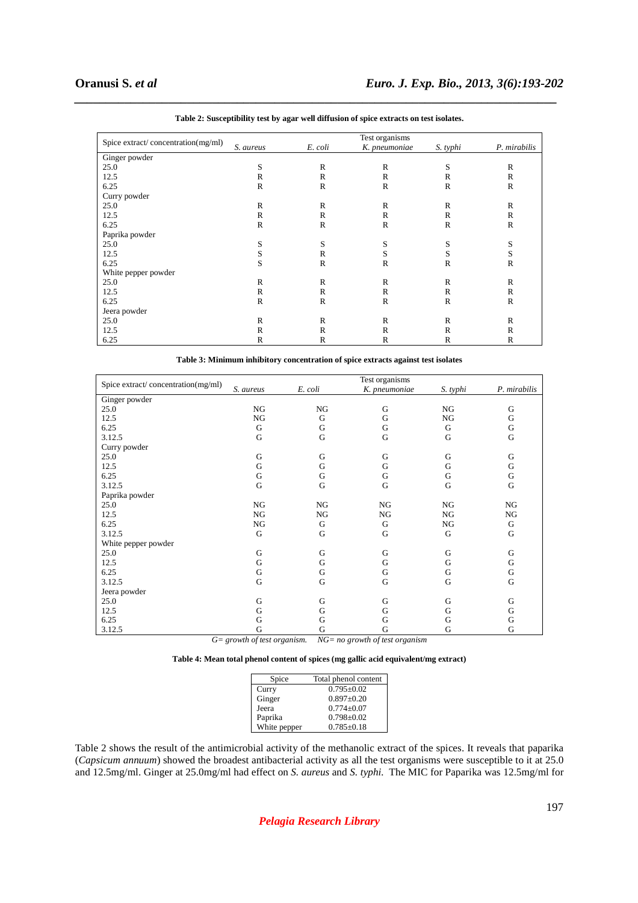|                                    |              |              | Test organisms |              |              |
|------------------------------------|--------------|--------------|----------------|--------------|--------------|
| Spice extract/concentration(mg/ml) | S. aureus    | E. coli      | K. pneumoniae  | S. typhi     | P. mirabilis |
| Ginger powder                      |              |              |                |              |              |
| 25.0                               | S            | $\mathbb{R}$ | $\mathbb{R}$   | S            | $\mathbb{R}$ |
| 12.5                               | R            | R            | $\mathbb{R}$   | R            | R            |
| 6.25                               | $\mathbb{R}$ | $\mathbb{R}$ | $\mathbb{R}$   | $\mathbb{R}$ | $\mathbb{R}$ |
| Curry powder                       |              |              |                |              |              |
| 25.0                               | R            | R            | R              | R            | R            |
| 12.5                               | $\mathbb{R}$ | R            | $\mathbb{R}$   | $\mathbb{R}$ | $\mathbb{R}$ |
| 6.25                               | $\mathbb{R}$ | $\mathbb{R}$ | $\mathbb{R}$   | $\mathbb{R}$ | $\mathbb{R}$ |
| Paprika powder                     |              |              |                |              |              |
| 25.0                               | S            | S            | S              | S            | S            |
| 12.5                               | S            | R            | S              | S            | S            |
| 6.25                               | S            | $\mathbb{R}$ | $\mathbb{R}$   | $\mathbb{R}$ | $\mathbb{R}$ |
| White pepper powder                |              |              |                |              |              |
| 25.0                               | R            | R            | $\mathbb{R}$   | R            | $\mathbb{R}$ |
| 12.5                               | $\mathbb{R}$ | $\mathbb{R}$ | $\mathbb{R}$   | $\mathbb{R}$ | $\mathbb{R}$ |
| 6.25                               | R            | $\mathbb{R}$ | $\mathbb{R}$   | R            | R            |
| Jeera powder                       |              |              |                |              |              |
| 25.0                               | R            | R            | $\mathbb{R}$   | $\mathbb{R}$ | $\mathbb{R}$ |
| 12.5                               | R            | R            | $\mathbb{R}$   | R            | R            |
| 6.25                               | $\mathbb{R}$ | $\mathbb{R}$ | $\mathbb{R}$   | $\mathbb{R}$ | $\mathbb{R}$ |

| Table 2: Susceptibility test by agar well diffusion of spice extracts on test isolates. |  |  |  |  |  |  |
|-----------------------------------------------------------------------------------------|--|--|--|--|--|--|
|-----------------------------------------------------------------------------------------|--|--|--|--|--|--|

*\_\_\_\_\_\_\_\_\_\_\_\_\_\_\_\_\_\_\_\_\_\_\_\_\_\_\_\_\_\_\_\_\_\_\_\_\_\_\_\_\_\_\_\_\_\_\_\_\_\_\_\_\_\_\_\_\_\_\_\_\_\_\_\_\_\_\_\_\_\_\_\_\_\_\_\_\_*

**Table 3: Minimum inhibitory concentration of spice extracts against test isolates** 

| Spice extract/concentration(mg/ml) |           |         | Test organisms |          |              |
|------------------------------------|-----------|---------|----------------|----------|--------------|
|                                    | S. aureus | E. coli | K. pneumoniae  | S. typhi | P. mirabilis |
| Ginger powder                      |           |         |                |          |              |
| 25.0                               | NG        | NG      | G              | NG       | G            |
| 12.5                               | NG        | G       | G              | NG       | G            |
| 6.25                               | G         | G       | G              | G        | G            |
| 3.12.5                             | G         | G       | G              | G        | $\mathbf G$  |
| Curry powder                       |           |         |                |          |              |
| 25.0                               | G         | G       | G              | G        | G            |
| 12.5                               | G         | G       | G              | G        | G            |
| 6.25                               | G         | G       | G              | G        | $\mathbf G$  |
| 3.12.5                             | G         | G       | G              | G        | $\mathbf G$  |
| Paprika powder                     |           |         |                |          |              |
| 25.0                               | NG        | NG      | NG             | NG       | NG           |
| 12.5                               | NG        | NG      | NG             | NG       | NG           |
| 6.25                               | NG        | G       | G              | NG       | G            |
| 3.12.5                             | G         | G       | G              | G        | $\mathbf G$  |
| White pepper powder                |           |         |                |          |              |
| 25.0                               | G         | G       | G              | G        | G            |
| 12.5                               | G         | G       | G              | G        | G            |
| 6.25                               | G         | G       | G              | G        | ${\bf G}$    |
| 3.12.5                             | G         | G       | G              | G        | G            |
| Jeera powder                       |           |         |                |          |              |
| 25.0                               | G         | G       | G              | G        | G            |
| 12.5                               | G         | G       | G              | G        | G            |
| 6.25                               | G         | G       | G              | G        | G            |
| 3.12.5                             | G         | G       | G              | G        | G            |

*G= growth of test organism. NG= no growth of test organism* 

|  |  | Table 4: Mean total phenol content of spices (mg gallic acid equivalent/mg extract) |
|--|--|-------------------------------------------------------------------------------------|
|--|--|-------------------------------------------------------------------------------------|

| Spice        | Total phenol content |
|--------------|----------------------|
| Curry        | $0.795 + 0.02$       |
| Ginger       | $0.897 \pm 0.20$     |
| Jeera        | $0.774 + 0.07$       |
| Paprika      | $0.798 \pm 0.02$     |
| White pepper | $0.785 + 0.18$       |

Table 2 shows the result of the antimicrobial activity of the methanolic extract of the spices. It reveals that paparika (*Capsicum annuum*) showed the broadest antibacterial activity as all the test organisms were susceptible to it at 25.0 and 12.5mg/ml. Ginger at 25.0mg/ml had effect on *S. aureus* and *S. typhi.* The MIC for Paparika was 12.5mg/ml for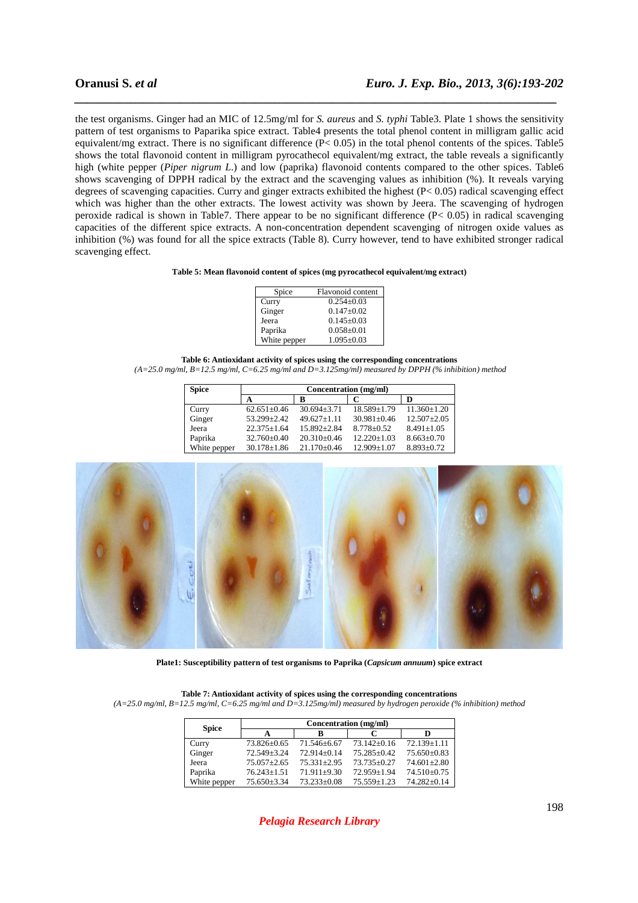the test organisms. Ginger had an MIC of 12.5mg/ml for *S. aureus* and *S. typhi* Table3. Plate 1 shows the sensitivity pattern of test organisms to Paparika spice extract. Table4 presents the total phenol content in milligram gallic acid equivalent/mg extract. There is no significant difference (P< 0.05) in the total phenol contents of the spices. Table5 shows the total flavonoid content in milligram pyrocathecol equivalent/mg extract, the table reveals a significantly high (white pepper (*Piper nigrum L*.) and low (paprika) flavonoid contents compared to the other spices. Table6 shows scavenging of DPPH radical by the extract and the scavenging values as inhibition (%). It reveals varying degrees of scavenging capacities. Curry and ginger extracts exhibited the highest (P< 0.05) radical scavenging effect which was higher than the other extracts. The lowest activity was shown by Jeera. The scavenging of hydrogen peroxide radical is shown in Table7. There appear to be no significant difference  $(P< 0.05)$  in radical scavenging capacities of the different spice extracts. A non-concentration dependent scavenging of nitrogen oxide values as inhibition (%) was found for all the spice extracts (Table 8). Curry however, tend to have exhibited stronger radical scavenging effect.

*\_\_\_\_\_\_\_\_\_\_\_\_\_\_\_\_\_\_\_\_\_\_\_\_\_\_\_\_\_\_\_\_\_\_\_\_\_\_\_\_\_\_\_\_\_\_\_\_\_\_\_\_\_\_\_\_\_\_\_\_\_\_\_\_\_\_\_\_\_\_\_\_\_\_\_\_\_*

### **Table 5: Mean flavonoid content of spices (mg pyrocathecol equivalent/mg extract)**

| Spice        | Flavonoid content |
|--------------|-------------------|
| Curry        | $0.254 + 0.03$    |
| Ginger       | $0.147 + 0.02$    |
| Jeera        | $0.145 \pm 0.03$  |
| Paprika      | $0.058 \pm 0.01$  |
| White pepper | $1.095 \pm 0.03$  |

**Table 6: Antioxidant activity of spices using the corresponding concentrations** 

 *(A=25.0 mg/ml, B=12.5 mg/ml, C=6.25 mg/ml and D=3.125mg/ml) measured by DPPH (% inhibition) method* 

| <b>Spice</b> | Concentration (mg/ml) |                   |                   |                   |
|--------------|-----------------------|-------------------|-------------------|-------------------|
|              | A                     | в                 |                   | D                 |
| Curry        | $62.651 \pm 0.46$     | $30.694 \pm 3.71$ | $18.589 \pm 1.79$ | $11.360 \pm 1.20$ |
| Ginger       | 53.299+2.42           | $49.627 \pm 1.11$ | $30.981 + 0.46$   | $12.507 \pm 2.05$ |
| Jeera        | $22.375 + 1.64$       | $15.892 + 2.84$   | $8.778 \pm 0.52$  | $8.491 \pm 1.05$  |
| Paprika      | $32.760 \pm 0.40$     | $20.310\pm0.46$   | $12.220 \pm 1.03$ | $8.663 \pm 0.70$  |
| White pepper | $30.178 \pm 1.86$     | $21.170 \pm 0.46$ | $12.909 \pm 1.07$ | $8.893 \pm 0.72$  |



**Plate1: Susceptibility pattern of test organisms to Paprika (***Capsicum annuum***) spice extract** 

|              | Concentration (mg/ml) |                 |                   |                   |
|--------------|-----------------------|-----------------|-------------------|-------------------|
| <b>Spice</b> |                       | ĸ               |                   | D                 |
| Curry        | 73.826±0.65           | 71.546+6.67     | $73.142 + 0.16$   | $72.139 \pm 1.11$ |
| Ginger       | 72.549±3.24           | $72.914 + 0.14$ | $75.285 \pm 0.42$ | $75.650\pm0.83$   |
| Jeera        | $75.057 + 2.65$       | $75.331 + 2.95$ | $73.735 + 0.27$   | $74.601 \pm 2.80$ |
| Paprika      | $76.243 \pm 1.51$     | $71.911+9.30$   | $72.959 + 1.94$   | 74.510±0.75       |
| White pepper | $75.650 + 3.34$       | $73.233+0.08$   | $75.559 \pm 1.23$ | 74.282±0.14       |

**Table 7: Antioxidant activity of spices using the corresponding concentrations**  *(A=25.0 mg/ml, B=12.5 mg/ml, C=6.25 mg/ml and D=3.125mg/ml) measured by hydrogen peroxide (% inhibition) method*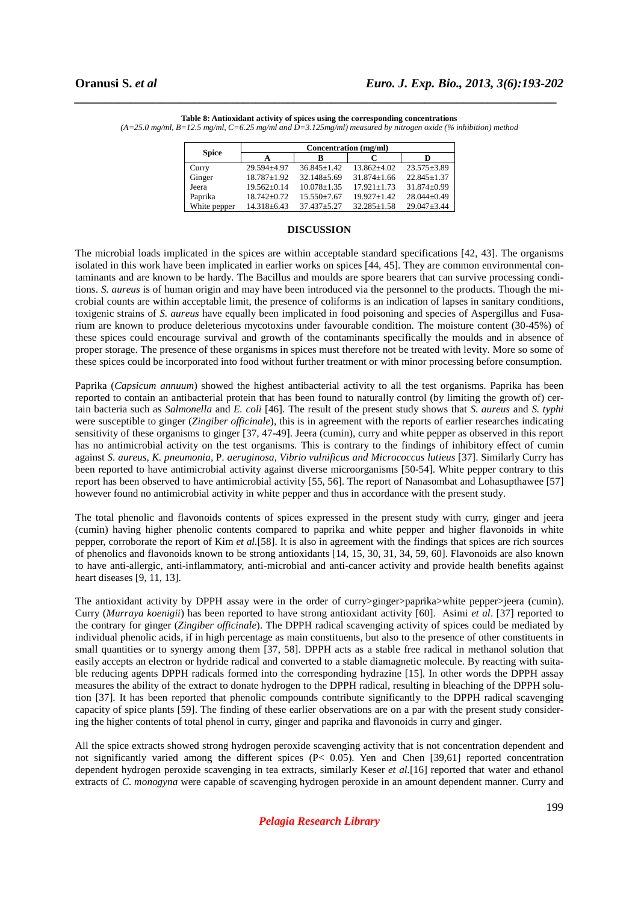|              | Concentration (mg/ml) |                   |                   |                   |  |
|--------------|-----------------------|-------------------|-------------------|-------------------|--|
| <b>Spice</b> |                       | R                 |                   | D                 |  |
| Curry        | 29.594±4.97           | $36.845+1.42$     | $13.862 + 4.02$   | $23.575 + 3.89$   |  |
| Ginger       | $18.787 \pm 1.92$     | $32.148 + 5.69$   | $31.874 + 1.66$   | $22.845 + 1.37$   |  |
| Jeera        | $19.562 + 0.14$       | $10.078 + 1.35$   | $17.921 + 1.73$   | $31.874 + 0.99$   |  |
| Paprika      | $18.742 + 0.72$       | $15.550 \pm 7.67$ | $19.927 + 1.42$   | $28.044 + 0.49$   |  |
| White pepper | $14.318 \pm 6.43$     | $37.437 + 5.27$   | $32.285 \pm 1.58$ | $29.047 \pm 3.44$ |  |

**Table 8: Antioxidant activity of spices using the corresponding concentrations**  *(A=25.0 mg/ml, B=12.5 mg/ml, C=6.25 mg/ml and D=3.125mg/ml) measured by nitrogen oxide (% inhibition) method* 

*\_\_\_\_\_\_\_\_\_\_\_\_\_\_\_\_\_\_\_\_\_\_\_\_\_\_\_\_\_\_\_\_\_\_\_\_\_\_\_\_\_\_\_\_\_\_\_\_\_\_\_\_\_\_\_\_\_\_\_\_\_\_\_\_\_\_\_\_\_\_\_\_\_\_\_\_\_*

### **DISCUSSION**

The microbial loads implicated in the spices are within acceptable standard specifications [42, 43]. The organisms isolated in this work have been implicated in earlier works on spices [44, 45]. They are common environmental contaminants and are known to be hardy. The Bacillus and moulds are spore bearers that can survive processing conditions. *S. aureus* is of human origin and may have been introduced via the personnel to the products. Though the microbial counts are within acceptable limit, the presence of coliforms is an indication of lapses in sanitary conditions, toxigenic strains of *S. aureus* have equally been implicated in food poisoning and species of Aspergillus and Fusarium are known to produce deleterious mycotoxins under favourable condition. The moisture content (30-45%) of these spices could encourage survival and growth of the contaminants specifically the moulds and in absence of proper storage. The presence of these organisms in spices must therefore not be treated with levity. More so some of these spices could be incorporated into food without further treatment or with minor processing before consumption.

Paprika (*Capsicum annuum*) showed the highest antibacterial activity to all the test organisms. Paprika has been reported to contain an antibacterial protein that has been found to naturally control (by limiting the growth of) certain bacteria such as *Salmonella* and *E. coli* [46]. The result of the present study shows that *S. aureus* and *S. typhi* were susceptible to ginger (*Zingiber officinale*), this is in agreement with the reports of earlier researches indicating sensitivity of these organisms to ginger [37, 47-49]. Jeera (cumin), curry and white pepper as observed in this report has no antimicrobial activity on the test organisms. This is contrary to the findings of inhibitory effect of cumin against *S. aureus, K. pneumonia,* P*. aeruginosa, Vibrio vulnificus and Micrococcus lutieus* [37]. Similarly Curry has been reported to have antimicrobial activity against diverse microorganisms [50-54]. White pepper contrary to this report has been observed to have antimicrobial activity [55, 56]. The report of Nanasombat and Lohasupthawee [57] however found no antimicrobial activity in white pepper and thus in accordance with the present study.

The total phenolic and flavonoids contents of spices expressed in the present study with curry, ginger and jeera (cumin) having higher phenolic contents compared to paprika and white pepper and higher flavonoids in white pepper, corroborate the report of Kim *et al.*[58]. It is also in agreement with the findings that spices are rich sources of phenolics and flavonoids known to be strong antioxidants [14, 15, 30, 31, 34, 59, 60]. Flavonoids are also known to have anti-allergic, anti-inflammatory, anti-microbial and anti-cancer activity and provide health benefits against heart diseases [9, 11, 13].

The antioxidant activity by DPPH assay were in the order of curry>ginger>paprika>white pepper>jeera (cumin). Curry (*Murraya koenigii*) has been reported to have strong antioxidant activity [60]. Asimi *et al*. [37] reported to the contrary for ginger (*Zingiber officinale*). The DPPH radical scavenging activity of spices could be mediated by individual phenolic acids, if in high percentage as main constituents, but also to the presence of other constituents in small quantities or to synergy among them [37, 58]. DPPH acts as a stable free radical in methanol solution that easily accepts an electron or hydride radical and converted to a stable diamagnetic molecule. By reacting with suitable reducing agents DPPH radicals formed into the corresponding hydrazine [15]. In other words the DPPH assay measures the ability of the extract to donate hydrogen to the DPPH radical, resulting in bleaching of the DPPH solution [37]. It has been reported that phenolic compounds contribute significantly to the DPPH radical scavenging capacity of spice plants [59]. The finding of these earlier observations are on a par with the present study considering the higher contents of total phenol in curry, ginger and paprika and flavonoids in curry and ginger.

All the spice extracts showed strong hydrogen peroxide scavenging activity that is not concentration dependent and not significantly varied among the different spices (P< 0.05). Yen and Chen [39,61] reported concentration dependent hydrogen peroxide scavenging in tea extracts, similarly Keser *et al.*[16] reported that water and ethanol extracts of *C. monogyna* were capable of scavenging hydrogen peroxide in an amount dependent manner. Curry and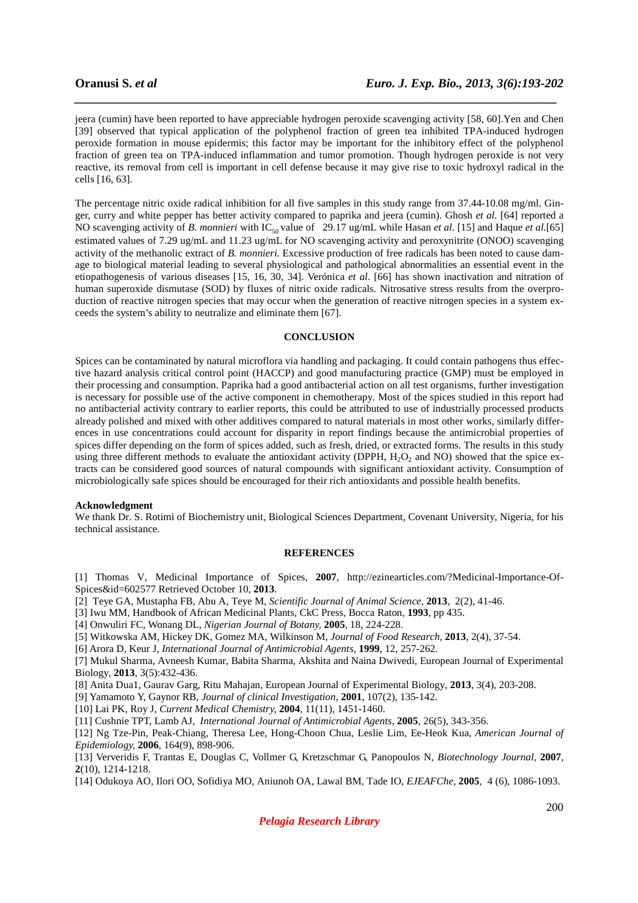jeera (cumin) have been reported to have appreciable hydrogen peroxide scavenging activity [58, 60].Yen and Chen [39] observed that typical application of the polyphenol fraction of green tea inhibited TPA-induced hydrogen peroxide formation in mouse epidermis; this factor may be important for the inhibitory effect of the polyphenol fraction of green tea on TPA-induced inflammation and tumor promotion. Though hydrogen peroxide is not very reactive, its removal from cell is important in cell defense because it may give rise to toxic hydroxyl radical in the cells [16, 63].

*\_\_\_\_\_\_\_\_\_\_\_\_\_\_\_\_\_\_\_\_\_\_\_\_\_\_\_\_\_\_\_\_\_\_\_\_\_\_\_\_\_\_\_\_\_\_\_\_\_\_\_\_\_\_\_\_\_\_\_\_\_\_\_\_\_\_\_\_\_\_\_\_\_\_\_\_\_*

The percentage nitric oxide radical inhibition for all five samples in this study range from 37.44-10.08 mg/ml. Ginger, curry and white pepper has better activity compared to paprika and jeera (cumin). Ghosh *et al.* [64] reported a NO scavenging activity of *B. monnieri* with IC<sub>50</sub> value of 29.17 ug/mL while Hasan *et al.* [15] and Haque *et al.* [65] estimated values of 7.29 ug/mL and 11.23 ug/mL for NO scavenging activity and peroxynitrite (ONOO) scavenging activity of the methanolic extract of *B. monnieri.* Excessive production of free radicals has been noted to cause damage to biological material leading to several physiological and pathological abnormalities an essential event in the etiopathogenesis of various diseases [15, 16, 30, 34]. Verónica *et al.* [66] has shown inactivation and nitration of human superoxide dismutase (SOD) by fluxes of nitric oxide radicals. Nitrosative stress results from the overproduction of reactive nitrogen species that may occur when the generation of reactive nitrogen species in a system exceeds the system's ability to neutralize and eliminate them [67].

### **CONCLUSION**

Spices can be contaminated by natural microflora via handling and packaging. It could contain pathogens thus effective hazard analysis critical control point (HACCP) and good manufacturing practice (GMP) must be employed in their processing and consumption. Paprika had a good antibacterial action on all test organisms, further investigation is necessary for possible use of the active component in chemotherapy. Most of the spices studied in this report had no antibacterial activity contrary to earlier reports, this could be attributed to use of industrially processed products already polished and mixed with other additives compared to natural materials in most other works, similarly differences in use concentrations could account for disparity in report findings because the antimicrobial properties of spices differ depending on the form of spices added, such as fresh, dried, or extracted forms. The results in this study using three different methods to evaluate the antioxidant activity (DPPH,  $H_2O_2$  and NO) showed that the spice extracts can be considered good sources of natural compounds with significant antioxidant activity. Consumption of microbiologically safe spices should be encouraged for their rich antioxidants and possible health benefits.

### **Acknowledgment**

We thank Dr. S. Rotimi of Biochemistry unit, Biological Sciences Department, Covenant University, Nigeria, for his technical assistance.

### **REFERENCES**

[1] Thomas V, Medicinal Importance of Spices, **2007**, http://ezinearticles.com/?Medicinal-Importance-Of-Spices&id=602577 Retrieved October 10, **2013**.

[2] Teye GA, Mustapha FB, Abu A, Teye M, *Scientific Journal of Animal Science,* **2013**,2(2), 41-46.

[3] Iwu MM, Handbook of African Medicinal Plants, CkC Press, Bocca Raton, **1993**, pp 435.

[4] Onwuliri FC, Wonang DL, *Nigerian Journal of Botany,* **2005**, 18, 224-228.

[5] Witkowska AM, Hickey DK, Gomez MA, Wilkinson M, *Journal of Food Research,* **2013**, 2(4), 37-54.

[6] Arora D, Keur J, *International Journal of Antimicrobial Agents,* **1999**, 12, 257-262.

[7] Mukul Sharma, Avneesh Kumar, Babita Sharma, Akshita and Naina Dwivedi, European Journal of Experimental Biology, **2013**, 3(5):432-436.

[8] Anita Dua1, Gaurav Garg, Ritu Mahajan, European Journal of Experimental Biology, **2013**, 3(4), 203-208.

[9] Yamamoto Y, Gaynor RB, *Journal of clinical Investigation,* **2001**, 107(2), 135-142.

[10] Lai PK, Roy J, *Current Medical Chemistry,* **2004**, 11(11), 1451-1460.

[11] Cushnie TPT, Lamb AJ, *International Journal of Antimicrobial Agents,* **2005**, 26(5), 343-356.

[12] Ng Tze-Pin, Peak-Chiang, Theresa Lee, Hong-Choon Chua, Leslie Lim, Ee-Heok Kua, *American Journal of Epidemiology,* **2006**, 164(9), 898-906.

[13] Ververidis F, Trantas E, Douglas C, Vollmer G, Kretzschmar G, Panopoulos N, *Biotechnology Journal,* **2007**, **2**(10), 1214-1218.

[14] Odukoya AO, Ilori OO, Sofidiya MO, Aniunoh OA, Lawal BM, Tade IO, *EJEAFChe,* **2005***,* 4 (6), 1086-1093.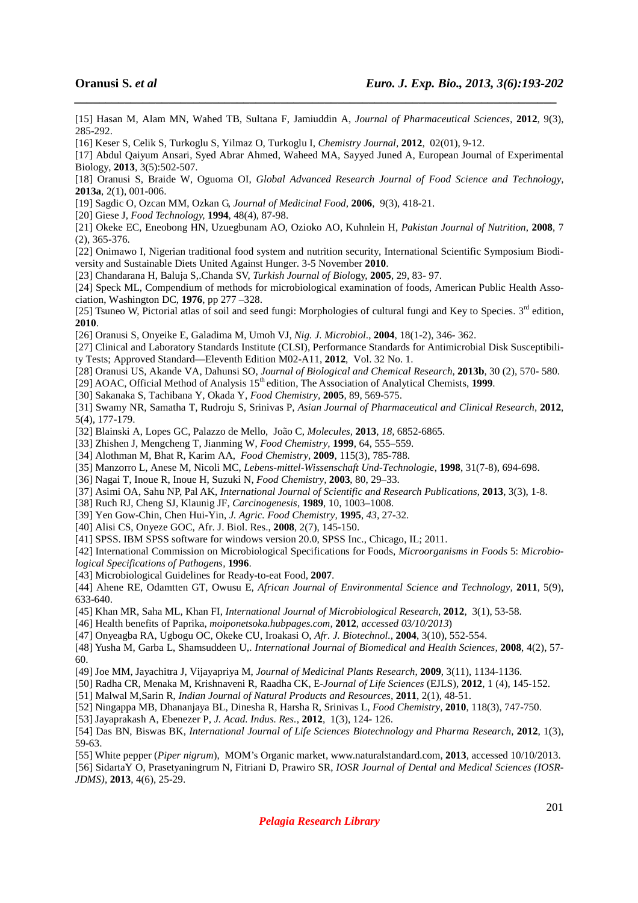[15] Hasan M, Alam MN, Wahed TB, Sultana F, Jamiuddin A, *Journal of Pharmaceutical Sciences,* **2012**, 9(3), 285-292.

*\_\_\_\_\_\_\_\_\_\_\_\_\_\_\_\_\_\_\_\_\_\_\_\_\_\_\_\_\_\_\_\_\_\_\_\_\_\_\_\_\_\_\_\_\_\_\_\_\_\_\_\_\_\_\_\_\_\_\_\_\_\_\_\_\_\_\_\_\_\_\_\_\_\_\_\_\_*

[16] Keser S, Celik S, Turkoglu S, Yilmaz O, Turkoglu I, *Chemistry Journal,* **2012**, 02(01), 9-12.

[17] Abdul Qaiyum Ansari, Syed Abrar Ahmed, Waheed MA, Sayyed Juned A, European Journal of Experimental Biology, **2013**, 3(5):502-507.

[18] Oranusi S, Braide W, Oguoma OI, *Global Advanced Research Journal of Food Science and Technology,* **2013a**, 2(1), 001-006.

[19] Sagdic O, Ozcan MM, Ozkan G, *Journal of Medicinal Food,* **2006**,9(3), 418-21.

[20] Giese J, *Food Technology,* **1994**, 48(4), 87-98.

[21] Okeke EC, Eneobong HN, Uzuegbunam AO, Ozioko AO, Kuhnlein H, *Pakistan Journal of Nutrition*, **2008**, 7 (2), 365-376.

[22] Onimawo I, Nigerian traditional food system and nutrition security, International Scientific Symposium Biodiversity and Sustainable Diets United Against Hunger. 3-5 November **2010**.

[23] Chandarana H, Baluja S,.Chanda SV, *Turkish Journal of Biol*ogy, **2005**, 29, 83- 97.

[24] Speck ML, Compendium of methods for microbiological examination of foods, American Public Health Association, Washington DC, **1976**, pp 277 –328.

[25] Tsuneo W, Pictorial atlas of soil and seed fungi: Morphologies of cultural fungi and Key to Species.  $3<sup>rd</sup>$  edition, **2010**.

[26] Oranusi S, Onyeike E, Galadima M, Umoh VJ, *Nig. J. Microbiol*., **2004**, 18(1-2), 346- 362.

[27] Clinical and Laboratory Standards Institute (CLSI), Performance Standards for Antimicrobial Disk Susceptibility Tests; Approved Standard—Eleventh Edition M02-A11, **2012**, Vol. 32 No. 1.

[28] Oranusi US, Akande VA, Dahunsi SO, *Journal of Biological and Chemical Research,* **2013b**, 30 (2), 570- 580.

[29] AOAC, Official Method of Analysis 15<sup>th</sup> edition, The Association of Analytical Chemists, 1999.

[30] Sakanaka S, Tachibana Y, Okada Y, *Food Chemistry,* **2005**, 89, 569-575.

[31] Swamy NR, Samatha T, Rudroju S, Srinivas P, *Asian Journal of Pharmaceutical and Clinical Research*, **2012**, 5(4), 177-179.

[32] Blainski A, Lopes GC, Palazzo de Mello, João C, *Molecules,* **2013**, *18,* 6852-6865.

[33] Zhishen J, Mengcheng T, Jianming W, *Food Chemistry,* **1999**, 64, 555–559.

[34] Alothman M, Bhat R, Karim AA, *Food Chemistry,* **2009**, 115(3), 785-788.

[35] Manzorro L, Anese M, Nicoli MC, *Lebens-mittel-Wissenschaft Und-Technologie*, **1998**, 31(7-8), 694-698.

[36] Nagai T, Inoue R, Inoue H, Suzuki N, *Food Chemistry,* **2003**, 80, 29–33.

[37] Asimi OA, Sahu NP, Pal AK, *International Journal of Scientific and Research Publications*, **2013**, 3(3), 1-8.

[38] Ruch RJ, Cheng SJ, Klaunig JF, *Carcinogenesis*, **1989**, 10, 1003–1008.

[39] Yen Gow-Chin, Chen Hui-Yin, *J. Agric. Food Chemistry,* **1995**, *43,* 27-32.

[40] Alisi CS, Onyeze GOC, Afr. J. Biol. Res., **2008**, 2(7), 145-150.

[41] SPSS. IBM SPSS software for windows version 20.0, SPSS Inc., Chicago, IL; 2011.

[42] International Commission on Microbiological Specifications for Foods, *Microorganisms in Foods* 5: *Microbiological Specifications of Pathogens,* **1996**.

[43] Microbiological Guidelines for Ready-to-eat Food, **2007**.

[44] Ahene RE, Odamtten GT, Owusu E, *African Journal of Environmental Science and Technology,* **2011**, 5(9), 633-640.

[45] Khan MR, Saha ML, Khan FI, *International Journal of Microbiological Research,* **2012**, 3(1), 53-58.

[46] Health benefits of Paprika, *moiponetsoka.hubpages.com,* **2012**, *accessed 03/10/2013*)

[47] Onyeagba RA, Ugbogu OC, Okeke CU, Iroakasi O, *Afr. J. Biotechnol.,* **2004**, 3(10), 552-554.

[48] Yusha M, Garba L, Shamsuddeen U,. *International Journal of Biomedical and Health Sciences,* **2008**, 4(2), 57- 60.

[49] Joe MM, Jayachitra J, Vijayapriya M, *Journal of Medicinal Plants Research*, **2009**, 3(11), 1134-1136.

[50] Radha CR, Menaka M, Krishnaveni R, Raadha CK, E-*Journal of Life Sciences* (EJLS), **2012**, 1 (4), 145-152.

[51] Malwal M,Sarin R, *Indian Journal of Natural Products and Resources,* **2011**, 2(1), 48-51.

[52] Ningappa MB, Dhananjaya BL, Dinesha R, Harsha R, Srinivas L, *Food Chemistry,* **2010**, 118(3), 747-750.

[53] Jayaprakash A, Ebenezer P, *J. Acad. Indus. Res.,* **2012**, 1(3), 124- 126.

[54] Das BN, Biswas BK, *International Journal of Life Sciences Biotechnology and Pharma Research,* **2012**, 1(3), 59-63.

[55] White pepper (*Piper nigrum*), MOM's Organic market, www.naturalstandard.com, **2013**, accessed 10/10/2013.

[56] SidartaY O, Prasetyaningrum N, Fitriani D, Prawiro SR, *IOSR Journal of Dental and Medical Sciences (IOSR-JDMS)*, **2013**, 4(6), 25-29.